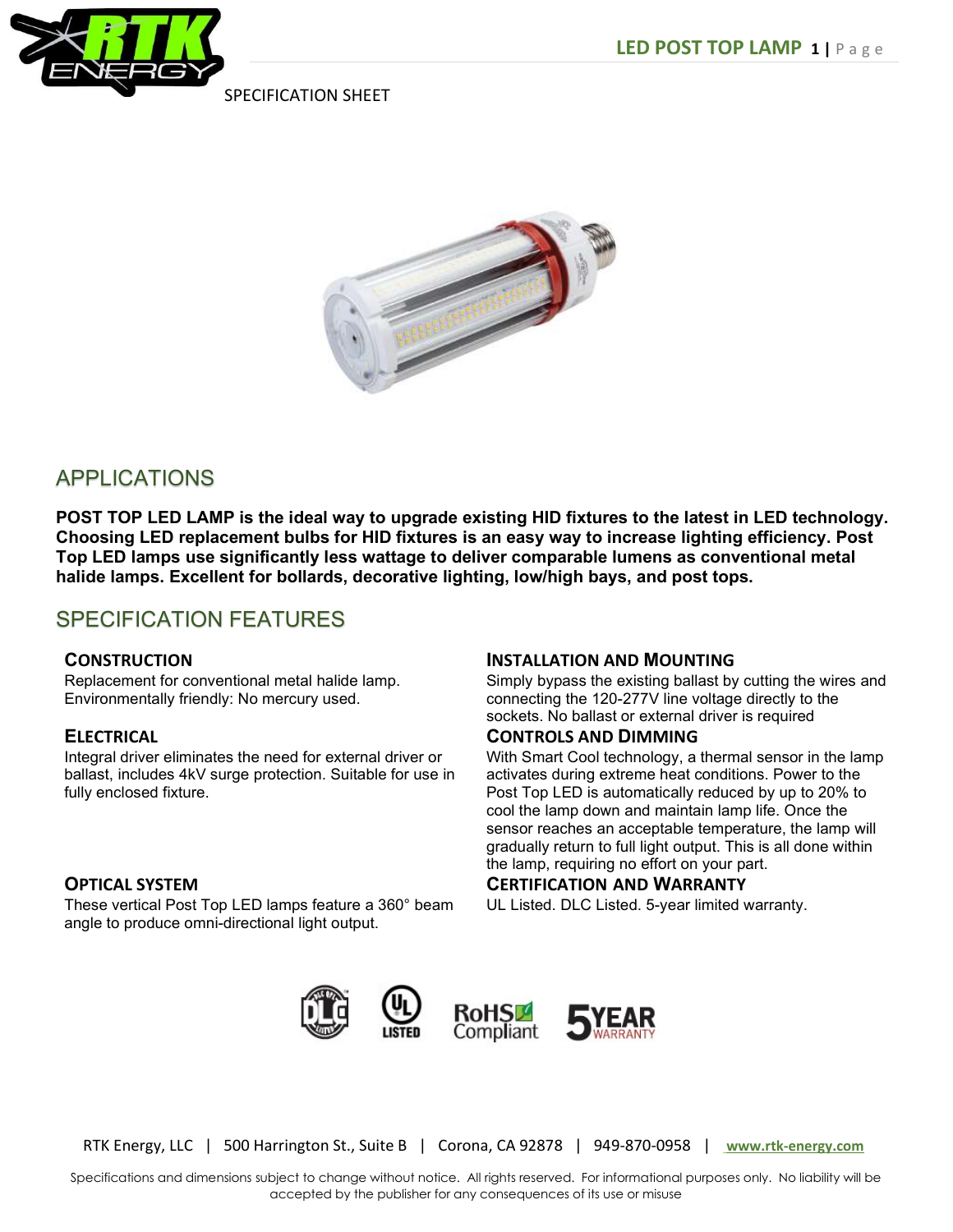

SPECIFICATION SHEET



# APPLICATIONS

POST TOP LED LAMP is the ideal way to upgrade existing HID fixtures to the latest in LED technology. Choosing LED replacement bulbs for HID fixtures is an easy way to increase lighting efficiency. Post Top LED lamps use significantly less wattage to deliver comparable lumens as conventional metal halide lamps. Excellent for bollards, decorative lighting, low/high bays, and post tops.

# SPECIFICATION FEATURES

## **CONSTRUCTION**

Replacement for conventional metal halide lamp. Environmentally friendly: No mercury used.

## **ELECTRICAL**

Integral driver eliminates the need for external driver or ballast, includes 4kV surge protection. Suitable for use in fully enclosed fixture.

## OPTICAL SYSTEM

These vertical Post Top LED lamps feature a 360° beam angle to produce omni-directional light output.

#### INSTALLATION AND MOUNTING

Simply bypass the existing ballast by cutting the wires and connecting the 120-277V line voltage directly to the sockets. No ballast or external driver is required

#### CONTROLS AND DIMMING

With Smart Cool technology, a thermal sensor in the lamp activates during extreme heat conditions. Power to the Post Top LED is automatically reduced by up to 20% to cool the lamp down and maintain lamp life. Once the sensor reaches an acceptable temperature, the lamp will gradually return to full light output. This is all done within the lamp, requiring no effort on your part.

## CERTIFICATION AND WARRANTY

UL Listed. DLC Listed. 5-year limited warranty.



RTK Energy, LLC | 500 Harrington St., Suite B | Corona, CA 92878 | 949-870-0958 | www.rtk-energy.com

Specifications and dimensions subject to change without notice. All rights reserved. For informational purposes only. No liability will be accepted by the publisher for any consequences of its use or misuse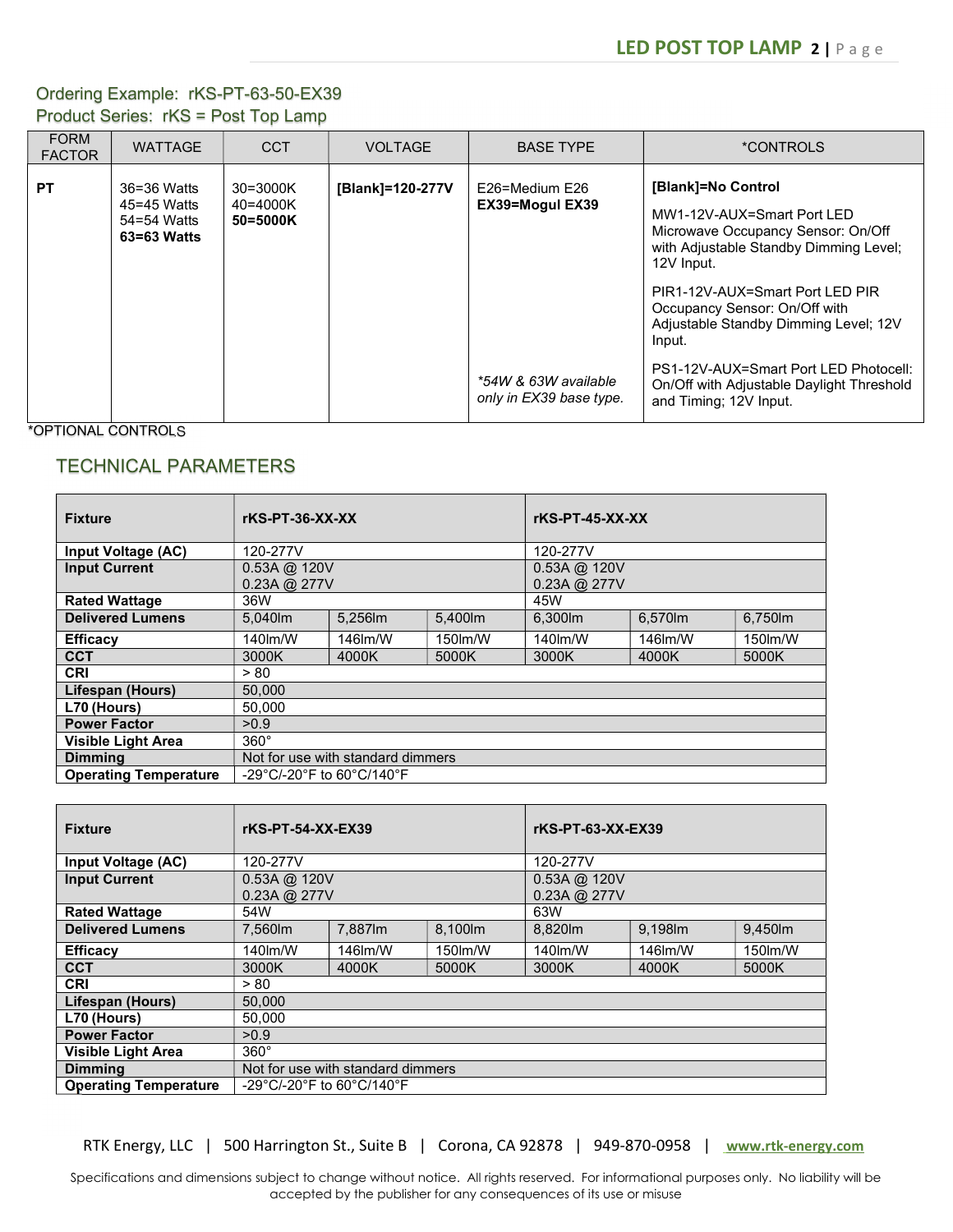# Ordering Example: rKS-PT-63-50-EX39 Product Series: rKS = Post Top Lamp

| <b>FORM</b><br><b>FACTOR</b> | <b>WATTAGE</b>                                           | <b>CCT</b>                       | <b>VOLTAGE</b>   | <b>BASE TYPE</b>                                                                     | *CONTROLS                                                                                                                                                                                                                                                                                                                                                                             |
|------------------------------|----------------------------------------------------------|----------------------------------|------------------|--------------------------------------------------------------------------------------|---------------------------------------------------------------------------------------------------------------------------------------------------------------------------------------------------------------------------------------------------------------------------------------------------------------------------------------------------------------------------------------|
| <b>PT</b>                    | 36=36 Watts<br>45=45 Watts<br>54=54 Watts<br>63=63 Watts | 30=3000K<br>40=4000K<br>50=5000K | [Blank]=120-277V | E26=Medium E26<br>EX39=Mogul EX39<br>*54W & 63W available<br>only in EX39 base type. | [Blank]=No Control<br>MW1-12V-AUX=Smart Port LED<br>Microwave Occupancy Sensor: On/Off<br>with Adjustable Standby Dimming Level;<br>12V Input.<br>PIR1-12V-AUX=Smart Port LED PIR<br>Occupancy Sensor: On/Off with<br>Adjustable Standby Dimming Level; 12V<br>Input.<br>PS1-12V-AUX=Smart Port LED Photocell:<br>On/Off with Adjustable Daylight Threshold<br>and Timing; 12V Input. |

\*OPTIONAL CONTROLS

# TECHNICAL PARAMETERS

| <b>Fixture</b>               | $rKS-PT-36-XX-XX$                                                    |         |          | $rKS-PT-45-XX-XX$   |         |         |
|------------------------------|----------------------------------------------------------------------|---------|----------|---------------------|---------|---------|
| Input Voltage (AC)           | 120-277V                                                             |         |          | 120-277V            |         |         |
| <b>Input Current</b>         | $0.53A \omega$ 120V                                                  |         |          | $0.53A \omega$ 120V |         |         |
|                              | 0.23A @ 277V                                                         |         |          | 0.23A @ 277V        |         |         |
| <b>Rated Wattage</b>         | 36W                                                                  |         |          | 45W                 |         |         |
| <b>Delivered Lumens</b>      | 5.040lm                                                              | 5.256lm | 5.400lm  | 6.300lm             | 6,570lm | 6,750lm |
| <b>Efficacy</b>              | 140lm/W                                                              | 146lm/W | 150 lm/W | 140 lm/W            | 146lm/W | 150m/W  |
| <b>CCT</b>                   | 3000K                                                                | 4000K   | 5000K    | 3000K               | 4000K   | 5000K   |
| <b>CRI</b>                   | > 80                                                                 |         |          |                     |         |         |
| Lifespan (Hours)             | 50.000                                                               |         |          |                     |         |         |
| L70 (Hours)                  | 50.000                                                               |         |          |                     |         |         |
| <b>Power Factor</b>          | >0.9                                                                 |         |          |                     |         |         |
| <b>Visible Light Area</b>    | $360^\circ$                                                          |         |          |                     |         |         |
| <b>Dimming</b>               | Not for use with standard dimmers                                    |         |          |                     |         |         |
| <b>Operating Temperature</b> | $-29^{\circ}$ C/-20 $^{\circ}$ F to 60 $^{\circ}$ C/140 $^{\circ}$ F |         |          |                     |         |         |

| <b>Fixture</b>               | rKS-PT-54-XX-EX39                 |         |          | rKS-PT-63-XX-EX39                          |         |         |
|------------------------------|-----------------------------------|---------|----------|--------------------------------------------|---------|---------|
| <b>Input Voltage (AC)</b>    | 120-277V                          |         |          | 120-277V                                   |         |         |
| <b>Input Current</b>         | $0.53A$ @ 120V<br>0.23A @ 277V    |         |          | $0.53A \omega$ 120V<br>$0.23A \omega$ 277V |         |         |
| <b>Rated Wattage</b>         | 54W                               |         |          | 63W                                        |         |         |
| <b>Delivered Lumens</b>      | 7.560m                            | 7.887lm | 8.100lm  | 8.820lm                                    | 9.198m  | 9.450lm |
| <b>Efficacy</b>              | 140 lm/W                          | 146lm/W | 150 lm/W | 140lm/W                                    | 146lm/W | 150m/W  |
| <b>CCT</b>                   | 3000K                             | 4000K   | 5000K    | 3000K                                      | 4000K   | 5000K   |
| <b>CRI</b>                   | > 80                              |         |          |                                            |         |         |
| Lifespan (Hours)             | 50.000                            |         |          |                                            |         |         |
| L70 (Hours)                  | 50.000                            |         |          |                                            |         |         |
| <b>Power Factor</b>          | >0.9                              |         |          |                                            |         |         |
| <b>Visible Light Area</b>    | $360^\circ$                       |         |          |                                            |         |         |
| <b>Dimming</b>               | Not for use with standard dimmers |         |          |                                            |         |         |
| <b>Operating Temperature</b> | -29°C/-20°F to 60°C/140°F         |         |          |                                            |         |         |

RTK Energy, LLC | 500 Harrington St., Suite B | Corona, CA 92878 | 949-870-0958 | www.rtk-energy.com

Specifications and dimensions subject to change without notice. All rights reserved. For informational purposes only. No liability will be accepted by the publisher for any consequences of its use or misuse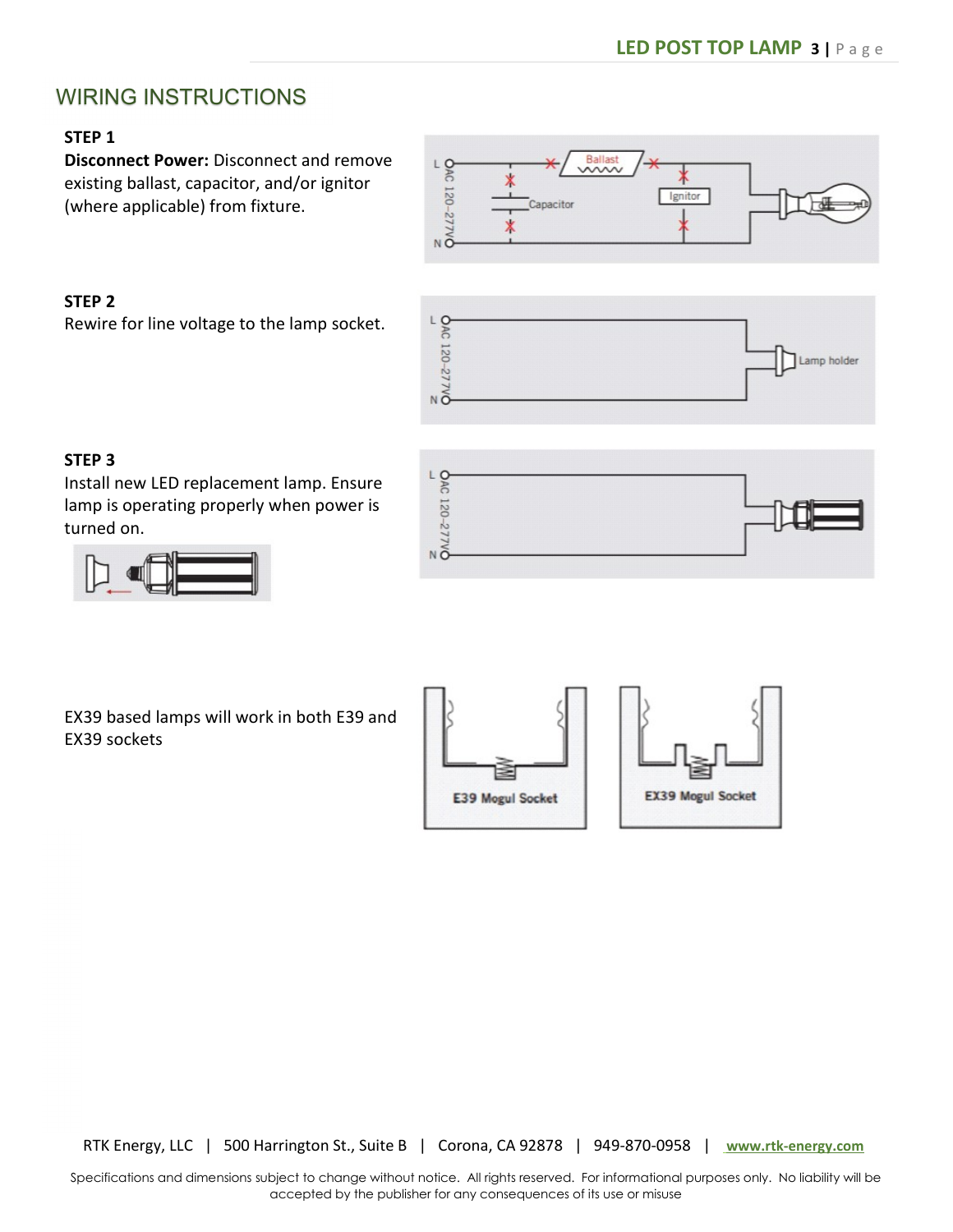# WIRING INSTRUCTIONS

## STEP 1

Disconnect Power: Disconnect and remove existing ballast, capacitor, and/or ignitor (where applicable) from fixture.

### STEP 2

Rewire for line voltage to the lamp socket.





## STEP 3

Install new LED replacement lamp. Ensure lamp is operating properly when power is turned on.





EX39 based lamps will work in both E39 and EX39 sockets



RTK Energy, LLC | 500 Harrington St., Suite B | Corona, CA 92878 | 949-870-0958 | www.rtk-energy.com

Specifications and dimensions subject to change without notice. All rights reserved. For informational purposes only. No liability will be accepted by the publisher for any consequences of its use or misuse